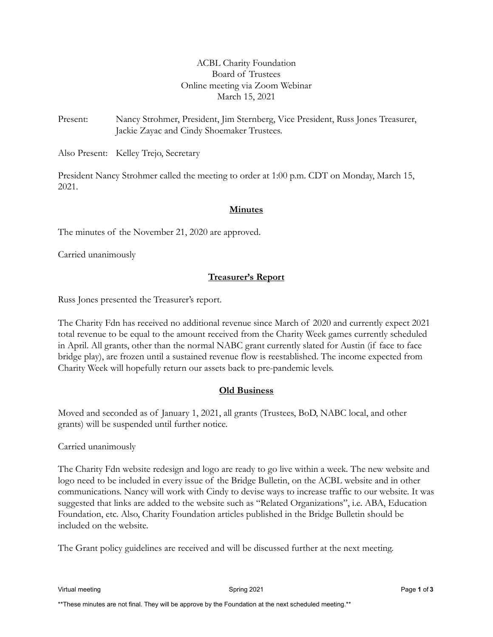# ACBL Charity Foundation Board of Trustees Online meeting via Zoom Webinar March 15, 2021

Present: Nancy Strohmer, President, Jim Sternberg, Vice President, Russ Jones Treasurer, Jackie Zayac and Cindy Shoemaker Trustees.

Also Present: Kelley Trejo, Secretary

President Nancy Strohmer called the meeting to order at 1:00 p.m. CDT on Monday, March 15, 2021.

## **Minutes**

The minutes of the November 21, 2020 are approved.

Carried unanimously

# **Treasurer's Report**

Russ Jones presented the Treasurer's report.

The Charity Fdn has received no additional revenue since March of 2020 and currently expect 2021 total revenue to be equal to the amount received from the Charity Week games currently scheduled in April. All grants, other than the normal NABC grant currently slated for Austin (if face to face bridge play), are frozen until a sustained revenue flow is reestablished. The income expected from Charity Week will hopefully return our assets back to pre-pandemic levels.

## **Old Business**

Moved and seconded as of January 1, 2021, all grants (Trustees, BoD, NABC local, and other grants) will be suspended until further notice.

Carried unanimously

The Charity Fdn website redesign and logo are ready to go live within a week. The new website and logo need to be included in every issue of the Bridge Bulletin, on the ACBL website and in other communications. Nancy will work with Cindy to devise ways to increase traffic to our website. It was suggested that links are added to the website such as "Related Organizations", i.e. ABA, Education Foundation, etc. Also, Charity Foundation articles published in the Bridge Bulletin should be included on the website.

The Grant policy guidelines are received and will be discussed further at the next meeting.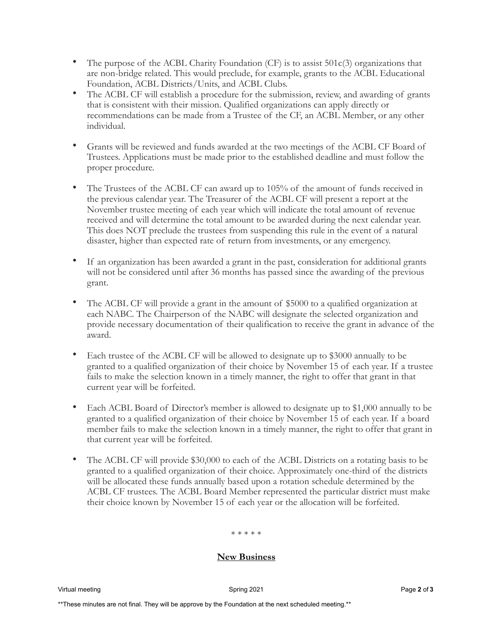- The purpose of the ACBL Charity Foundation  $(CF)$  is to assist 501 $c(3)$  organizations that are non-bridge related. This would preclude, for example, grants to the ACBL Educational Foundation, ACBL Districts/Units, and ACBL Clubs.
- The ACBL CF will establish a procedure for the submission, review, and awarding of grants that is consistent with their mission. Qualified organizations can apply directly or recommendations can be made from a Trustee of the CF, an ACBL Member, or any other individual.
- Grants will be reviewed and funds awarded at the two meetings of the ACBL CF Board of Trustees. Applications must be made prior to the established deadline and must follow the proper procedure.
- The Trustees of the ACBL CF can award up to 105% of the amount of funds received in the previous calendar year. The Treasurer of the ACBL CF will present a report at the November trustee meeting of each year which will indicate the total amount of revenue received and will determine the total amount to be awarded during the next calendar year. This does NOT preclude the trustees from suspending this rule in the event of a natural disaster, higher than expected rate of return from investments, or any emergency.
- If an organization has been awarded a grant in the past, consideration for additional grants will not be considered until after 36 months has passed since the awarding of the previous grant.
- The ACBL CF will provide a grant in the amount of \$5000 to a qualified organization at each NABC. The Chairperson of the NABC will designate the selected organization and provide necessary documentation of their qualification to receive the grant in advance of the award.
- Each trustee of the ACBL CF will be allowed to designate up to \$3000 annually to be granted to a qualified organization of their choice by November 15 of each year. If a trustee fails to make the selection known in a timely manner, the right to offer that grant in that current year will be forfeited.
- Each ACBL Board of Director's member is allowed to designate up to \$1,000 annually to be granted to a qualified organization of their choice by November 15 of each year. If a board member fails to make the selection known in a timely manner, the right to offer that grant in that current year will be forfeited.
- The ACBL CF will provide \$30,000 to each of the ACBL Districts on a rotating basis to be granted to a qualified organization of their choice. Approximately one-third of the districts will be allocated these funds annually based upon a rotation schedule determined by the ACBL CF trustees. The ACBL Board Member represented the particular district must make their choice known by November 15 of each year or the allocation will be forfeited.

#### \* \* \* \* \*

#### **New Business**